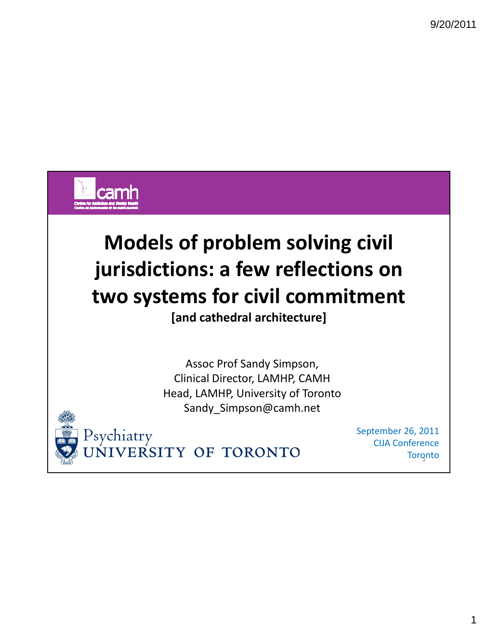

## **Models of problem solving civil jurisdictions: a few reflections on two systems for civil commitment**

 $[$ and cathedral architecture]

Assoc Prof Sandy Simpson, Clinical Director, LAMHP, CAMH Head, LAMHP, University of Toronto Sandy\_Simpson@camh.net



Psychiatry<br>UNIVERSITY OF TORONTO

September 26, 2011 CIJA Conference **Torqnto**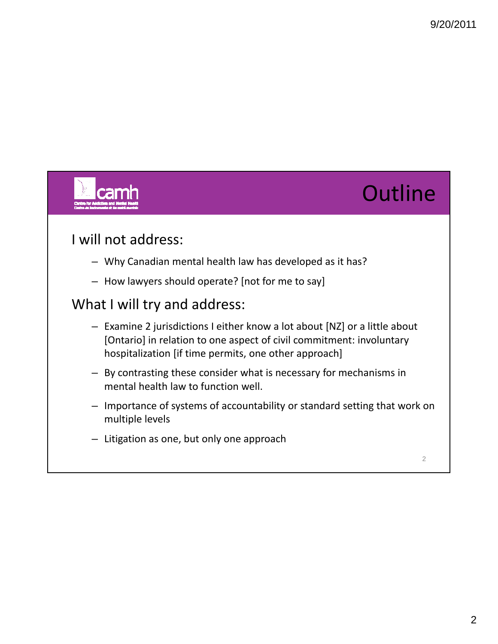# **Outline**

### I will not address:

- Why Canadian mental health law has developed as it has?
- How lawyers should operate? [not for me to say]

### What I will try and address:

- Examine 2 jurisdictions I either know a lot about [NZ] or a little about [Ontario] in relation to one aspect of civil commitment: involuntary hospitalization [if time permits, one other approach]
- By contrasting these consider what is necessary for mechanisms in mental health law to function well.
- Importance of systems of accountability or standard setting that work on multiple levels
- Litigation as one, but only one approach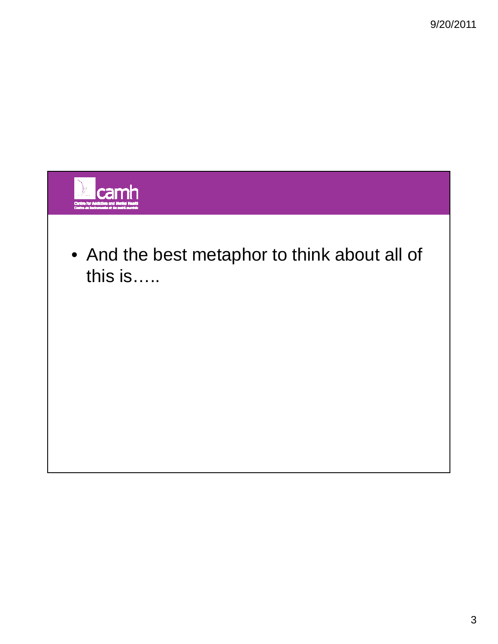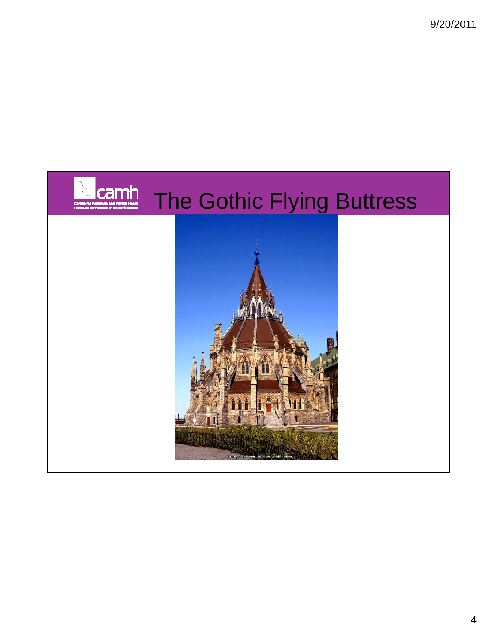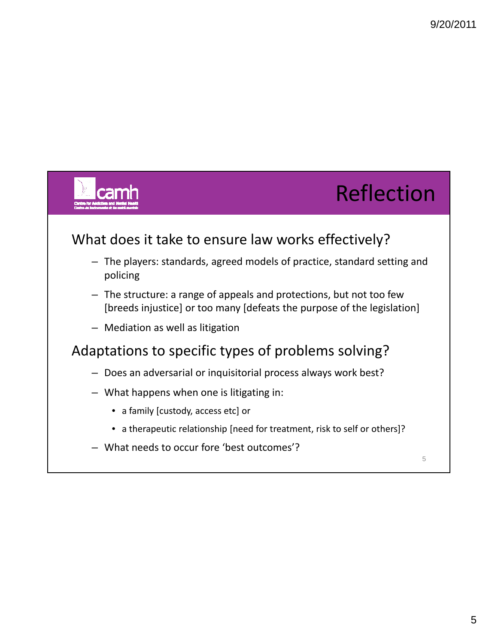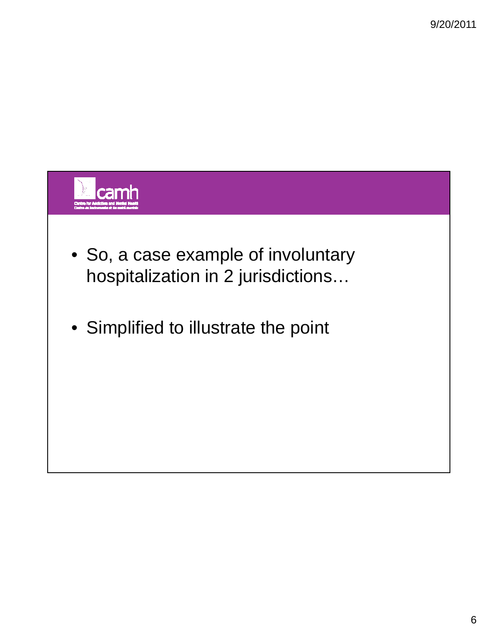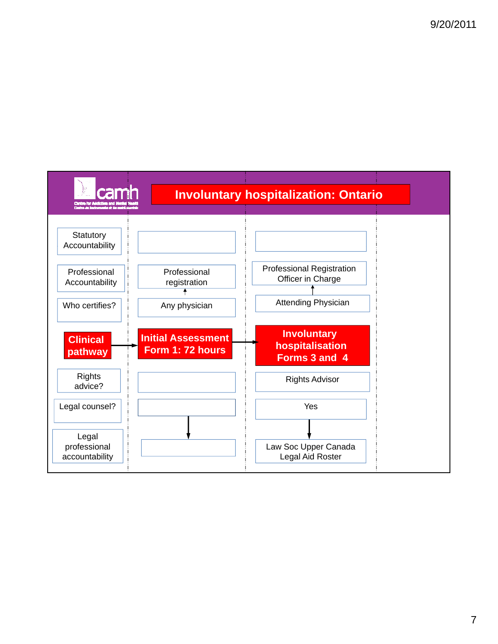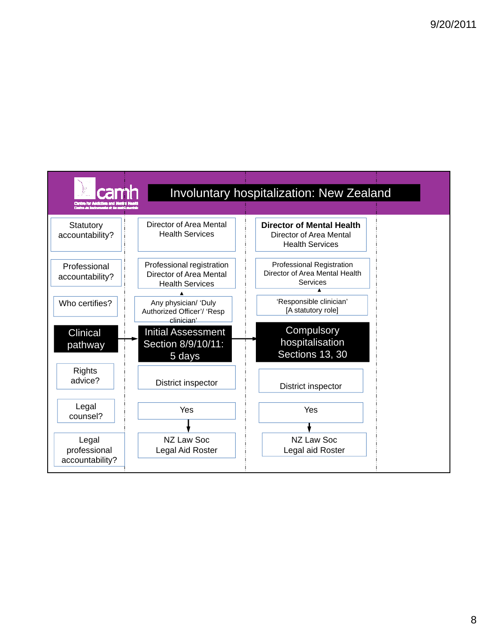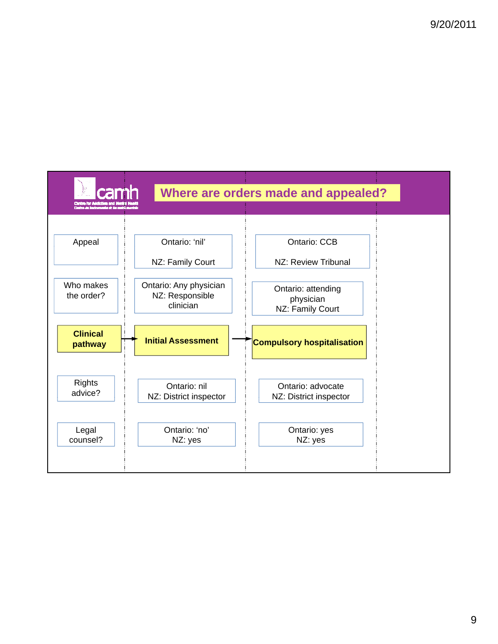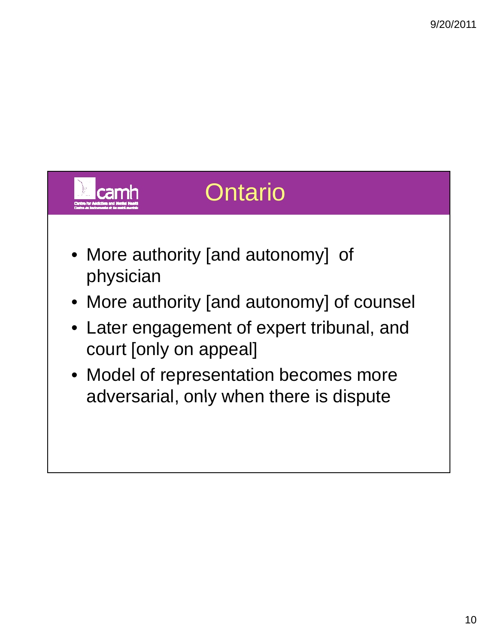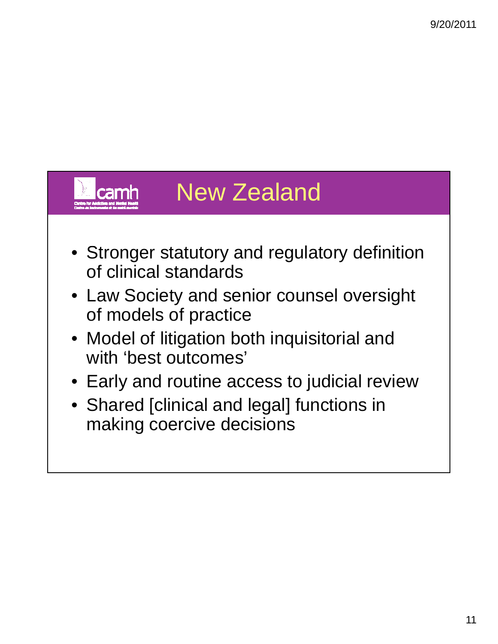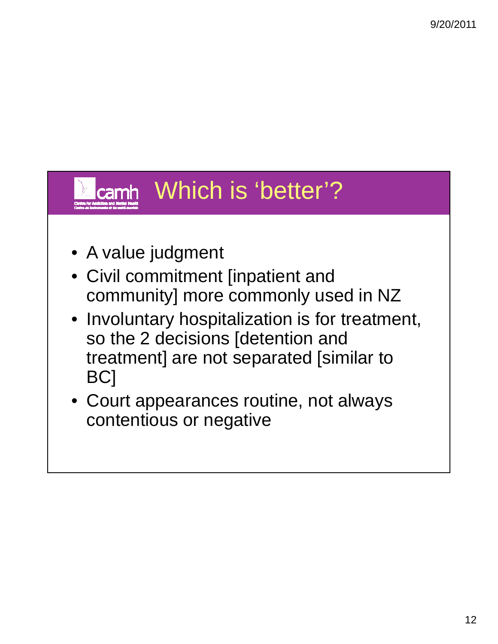#### Which is 'better'? camh

- A value judgment
- Civil commitment [inpatient and community] more commonly used in NZ
- Involuntary hospitalization is for treatment, so the 2 decisions [detention and treatment] are not separated [similar to BC]
- Court appearances routine, not always contentious or negative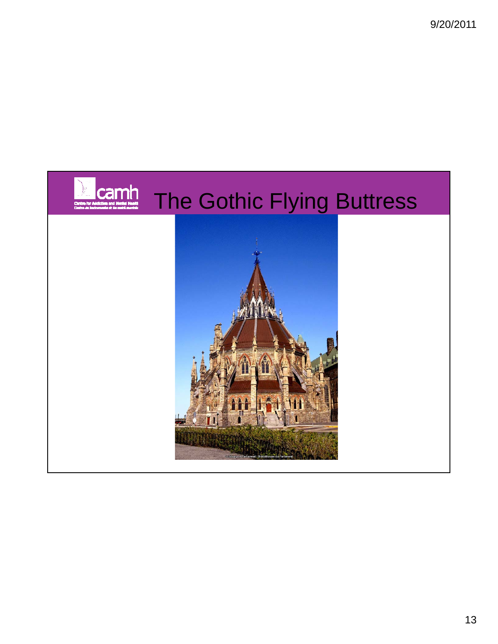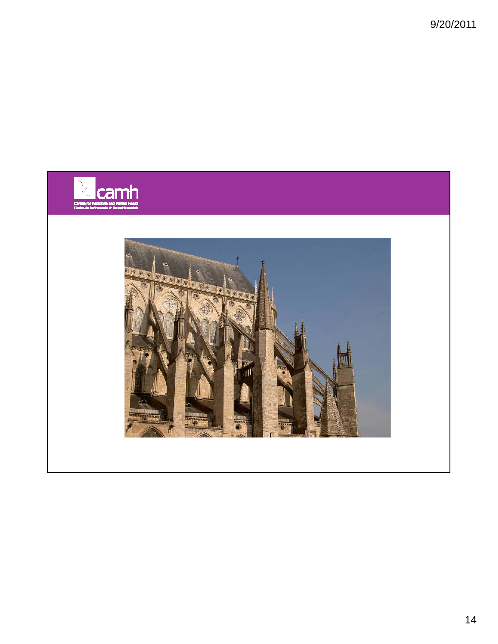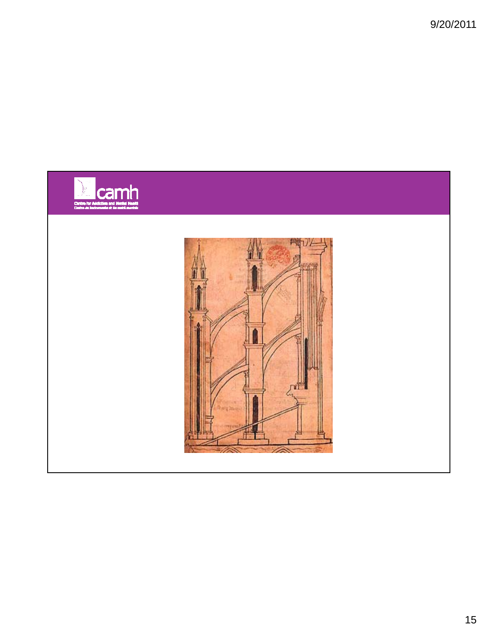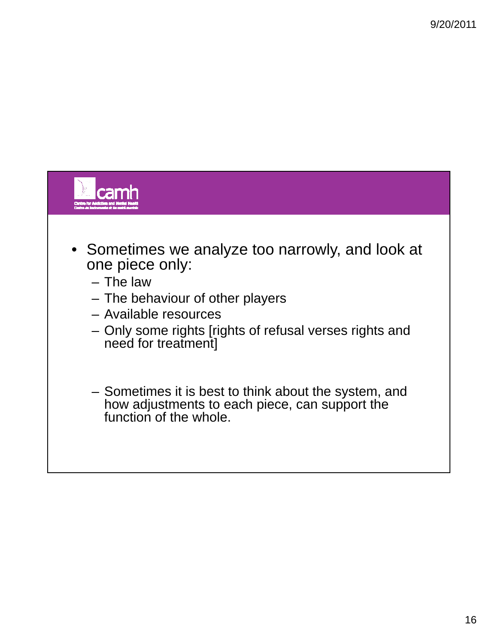